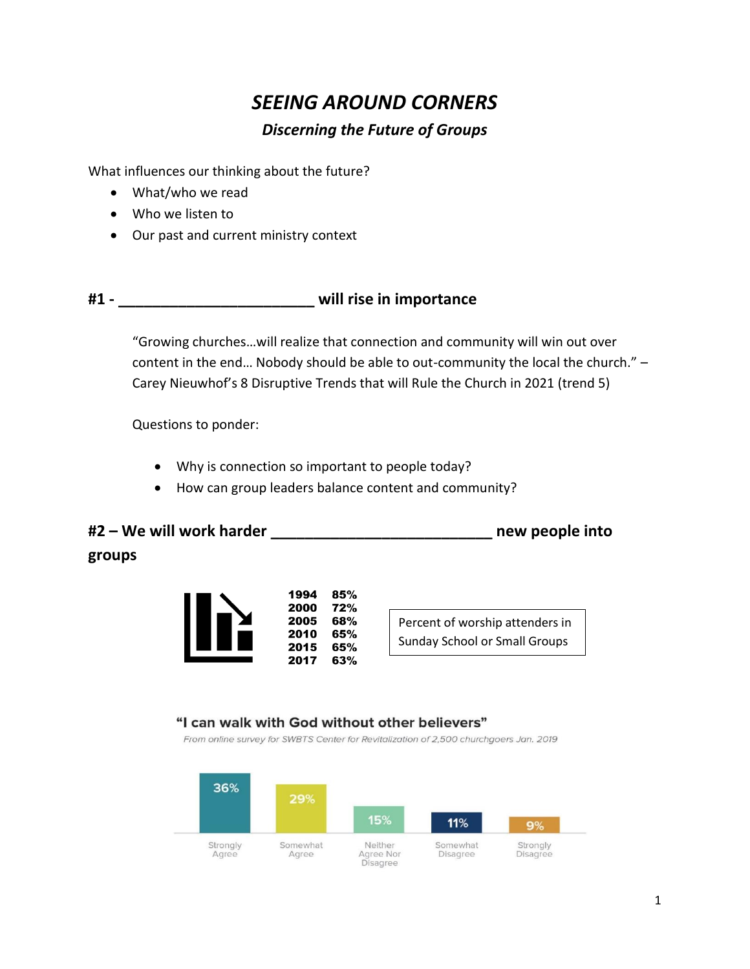# *SEEING AROUND CORNERS*

### *Discerning the Future of Groups*

What influences our thinking about the future?

- What/who we read
- Who we listen to
- Our past and current ministry context

## **#1 - \_\_\_\_\_\_\_\_\_\_\_\_\_\_\_\_\_\_\_\_\_\_\_ will rise in importance**

"Growing churches…will realize that connection and community will win out over content in the end… Nobody should be able to out-community the local the church." – Carey Nieuwhof's 8 Disruptive Trends that will Rule the Church in 2021 (trend 5)

Questions to ponder:

- Why is connection so important to people today?
- How can group leaders balance content and community?

# **#2 – We will work harder \_\_\_\_\_\_\_\_\_\_\_\_\_\_\_\_\_\_\_\_\_\_\_\_\_\_ new people into groups**



Percent of worship attenders in Sunday School or Small Groups

### "I can walk with God without other believers"

From online survey for SWBTS Center for Revitalization of 2,500 churchgoers Jan. 2019

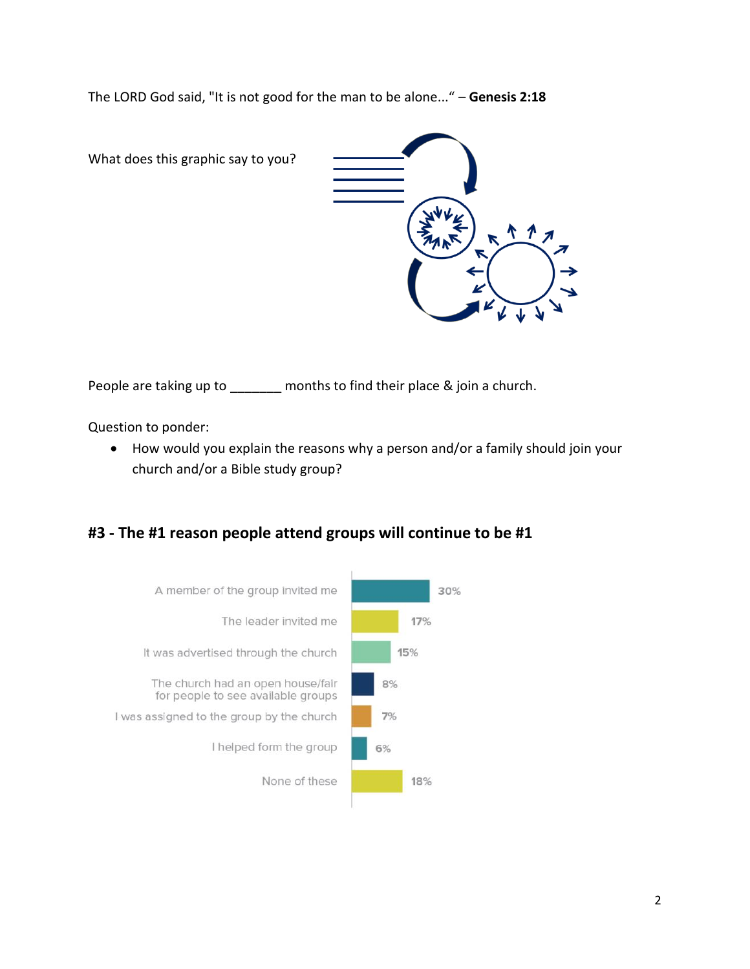The LORD God said, "It is not good for the man to be alone..." – **Genesis 2:18**

What does this graphic say to you?



People are taking up to \_\_\_\_\_\_ months to find their place & join a church.

Question to ponder:

• How would you explain the reasons why a person and/or a family should join your church and/or a Bible study group?

### **#3 - The #1 reason people attend groups will continue to be #1**

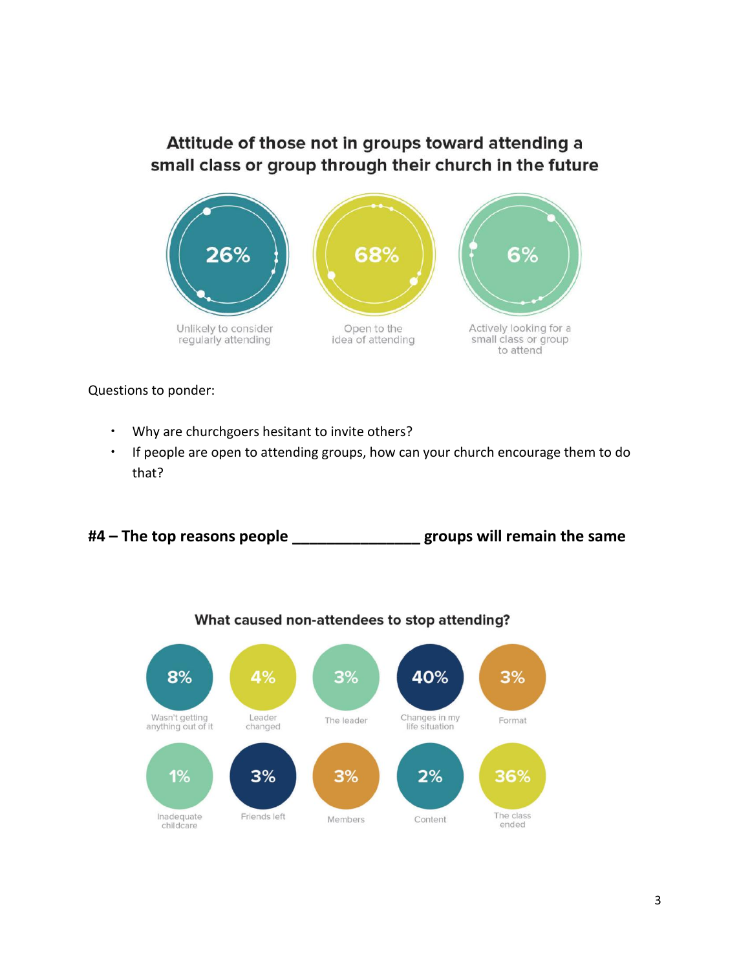# Attitude of those not in groups toward attending a small class or group through their church in the future



Questions to ponder:

- Why are churchgoers hesitant to invite others?
- If people are open to attending groups, how can your church encourage them to do that?

**#4 – The top reasons people \_\_\_\_\_\_\_\_\_\_\_\_\_\_\_ groups will remain the same**



What caused non-attendees to stop attending?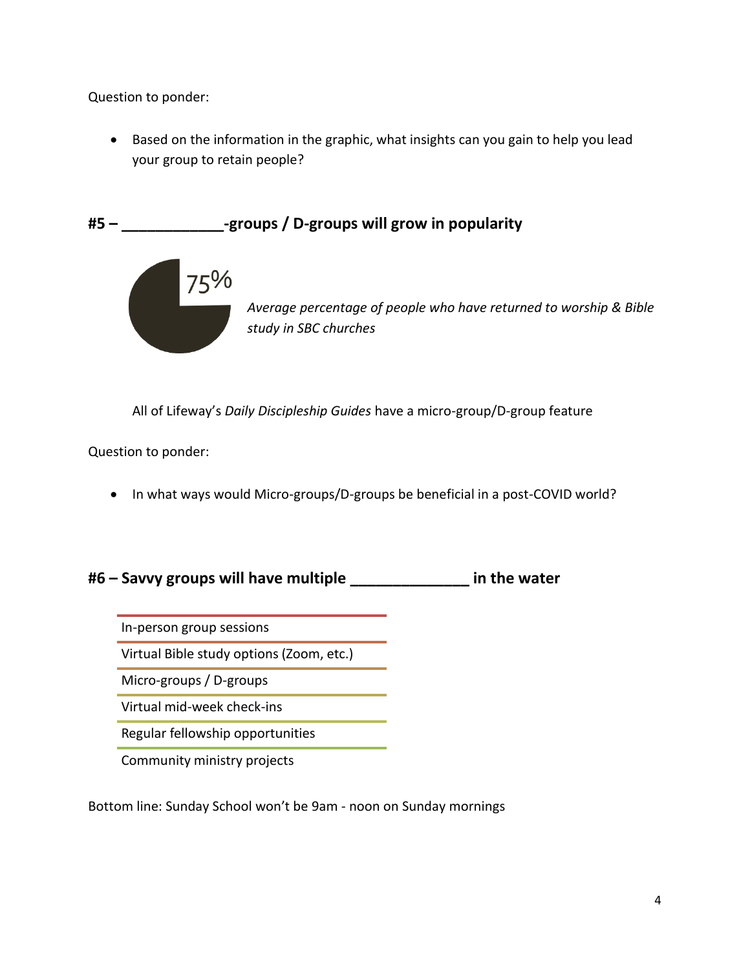Question to ponder:

• Based on the information in the graphic, what insights can you gain to help you lead your group to retain people?

**#5 – \_\_\_\_\_\_\_\_\_\_\_\_-groups / D-groups will grow in popularity**



All of Lifeway's *Daily Discipleship Guides* have a micro-group/D-group feature

Question to ponder:

• In what ways would Micro-groups/D-groups be beneficial in a post-COVID world?

**#6 – Savvy groups will have multiple \_\_\_\_\_\_\_\_\_\_\_\_\_\_ in the water**

In-person group sessions

Virtual Bible study options (Zoom, etc.)

Micro-groups / D-groups

Virtual mid-week check-ins

Regular fellowship opportunities

Community ministry projects

Bottom line: Sunday School won't be 9am - noon on Sunday mornings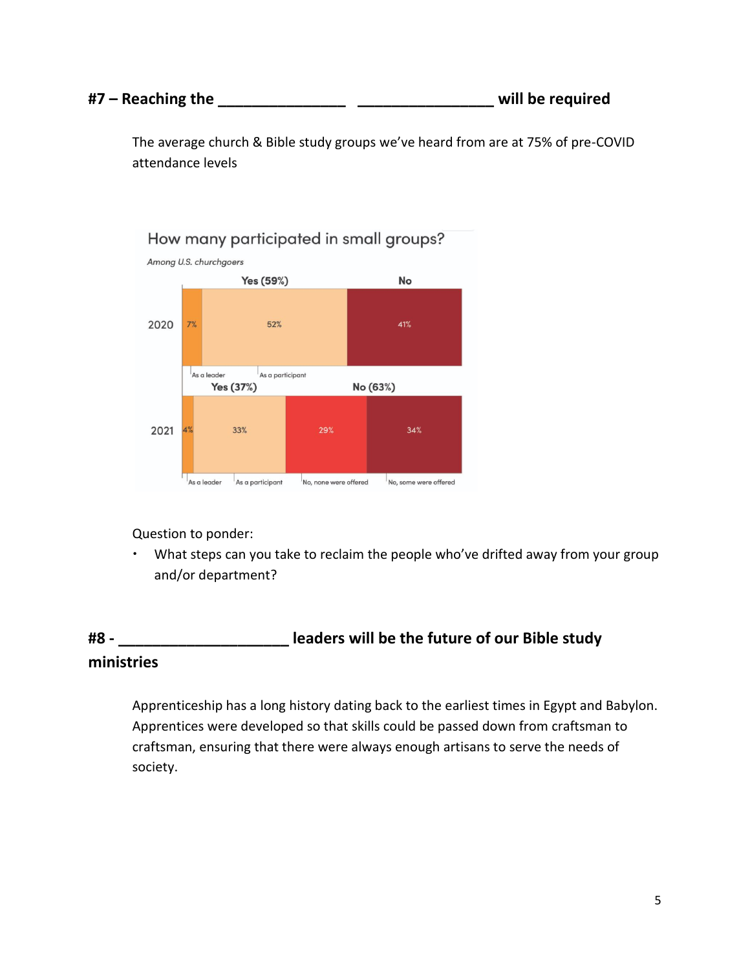#### **#7 – Reaching the \_\_\_\_\_\_\_\_\_\_\_\_\_\_\_ \_\_\_\_\_\_\_\_\_\_\_\_\_\_\_\_ will be required**

The average church & Bible study groups we've heard from are at 75% of pre-COVID attendance levels



Question to ponder:

 What steps can you take to reclaim the people who've drifted away from your group and/or department?

# **#8 - \_\_\_\_\_\_\_\_\_\_\_\_\_\_\_\_\_\_\_\_ leaders will be the future of our Bible study ministries**

Apprenticeship has a long history dating back to the earliest times in Egypt and Babylon. Apprentices were developed so that skills could be passed down from craftsman to craftsman, ensuring that there were always enough artisans to serve the needs of society.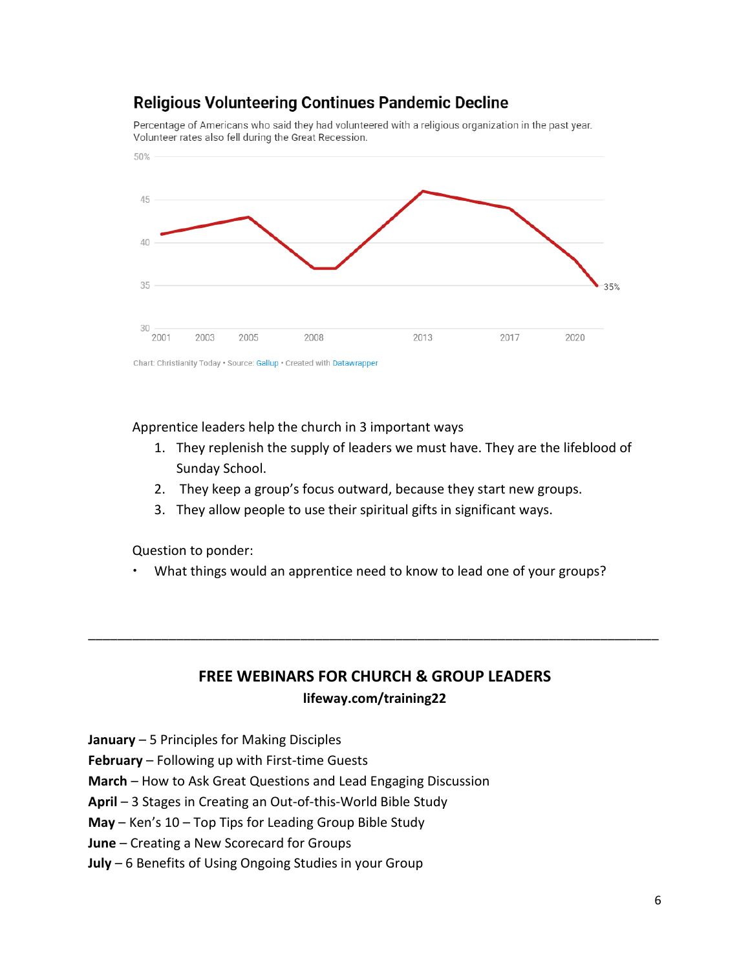# **Religious Volunteering Continues Pandemic Decline**

Percentage of Americans who said they had volunteered with a religious organization in the past year. Volunteer rates also fell during the Great Recession.



Apprentice leaders help the church in 3 important ways

- 1. They replenish the supply of leaders we must have. They are the lifeblood of Sunday School.
- 2. They keep a group's focus outward, because they start new groups.
- 3. They allow people to use their spiritual gifts in significant ways.

Question to ponder:

What things would an apprentice need to know to lead one of your groups?

## **FREE WEBINARS FOR CHURCH & GROUP LEADERS lifeway.com/training22**

\_\_\_\_\_\_\_\_\_\_\_\_\_\_\_\_\_\_\_\_\_\_\_\_\_\_\_\_\_\_\_\_\_\_\_\_\_\_\_\_\_\_\_\_\_\_\_\_\_\_\_\_\_\_\_\_\_\_\_\_\_\_\_\_\_\_\_\_\_\_\_\_\_\_\_\_\_\_

**January** – 5 Principles for Making Disciples

**February** – Following up with First-time Guests

**March** – How to Ask Great Questions and Lead Engaging Discussion

**April** – 3 Stages in Creating an Out-of-this-World Bible Study

**May** – Ken's 10 – Top Tips for Leading Group Bible Study

**June** – Creating a New Scorecard for Groups

**July** – 6 Benefits of Using Ongoing Studies in your Group